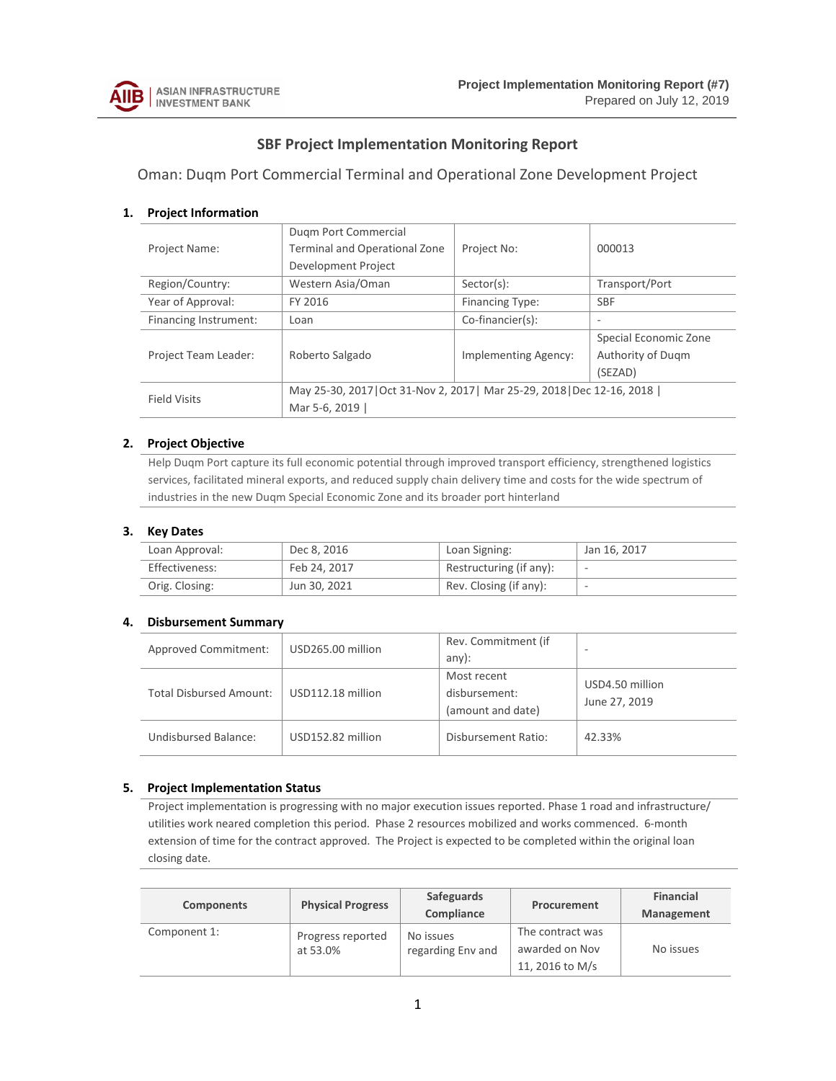

# **SBF Project Implementation Monitoring Report**

Oman: Duqm Port Commercial Terminal and Operational Zone Development Project

### **1. Project Information**

|                       | Dugm Port Commercial                                                     |                      |                       |  |  |  |  |  |
|-----------------------|--------------------------------------------------------------------------|----------------------|-----------------------|--|--|--|--|--|
| <b>Project Name:</b>  | <b>Terminal and Operational Zone</b>                                     | Project No:          | 000013                |  |  |  |  |  |
|                       | Development Project                                                      |                      |                       |  |  |  |  |  |
| Region/Country:       | Western Asia/Oman                                                        | $Sector(s)$ :        | Transport/Port        |  |  |  |  |  |
| Year of Approval:     | FY 2016                                                                  | Financing Type:      | <b>SBF</b>            |  |  |  |  |  |
| Financing Instrument: | Loan                                                                     | Co-financier(s):     |                       |  |  |  |  |  |
|                       |                                                                          |                      | Special Economic Zone |  |  |  |  |  |
| Project Team Leader:  | Roberto Salgado                                                          | Implementing Agency: | Authority of Dugm     |  |  |  |  |  |
|                       |                                                                          |                      | (SEZAD)               |  |  |  |  |  |
| <b>Field Visits</b>   | May 25-30, 2017   Oct 31-Nov 2, 2017   Mar 25-29, 2018   Dec 12-16, 2018 |                      |                       |  |  |  |  |  |
|                       | Mar 5-6, 2019                                                            |                      |                       |  |  |  |  |  |

### **2. Project Objective**

Help Duqm Port capture its full economic potential through improved transport efficiency, strengthened logistics services, facilitated mineral exports, and reduced supply chain delivery time and costs for the wide spectrum of industries in the new Duqm Special Economic Zone and its broader port hinterland

### **3. Key Dates**

| Loan Approval: | Dec 8, 2016  | Loan Signing:           | Jan 16, 2017 |
|----------------|--------------|-------------------------|--------------|
| Effectiveness: | Feb 24, 2017 | Restructuring (if any): |              |
| Orig. Closing: | Jun 30, 2021 | Rev. Closing (if any):  |              |

# **4. Disbursement Summary**

| <b>Approved Commitment:</b>    | USD265.00 million | Rev. Commitment (if<br>$any)$ :                   | $\overline{\phantom{a}}$         |
|--------------------------------|-------------------|---------------------------------------------------|----------------------------------|
| <b>Total Disbursed Amount:</b> | USD112.18 million | Most recent<br>disbursement:<br>(amount and date) | USD4.50 million<br>June 27, 2019 |
| Undisbursed Balance:           | USD152.82 million | Disbursement Ratio:                               | 42.33%                           |

### **5. Project Implementation Status**

Project implementation is progressing with no major execution issues reported. Phase 1 road and infrastructure/ utilities work neared completion this period. Phase 2 resources mobilized and works commenced. 6-month extension of time for the contract approved. The Project is expected to be completed within the original loan closing date.

| <b>Components</b> | <b>Physical Progress</b>      | Safeguards<br>Compliance       | Procurement                                           | <b>Financial</b><br><b>Management</b> |
|-------------------|-------------------------------|--------------------------------|-------------------------------------------------------|---------------------------------------|
| Component 1:      | Progress reported<br>at 53.0% | No issues<br>regarding Env and | The contract was<br>awarded on Nov<br>11, 2016 to M/s | No issues                             |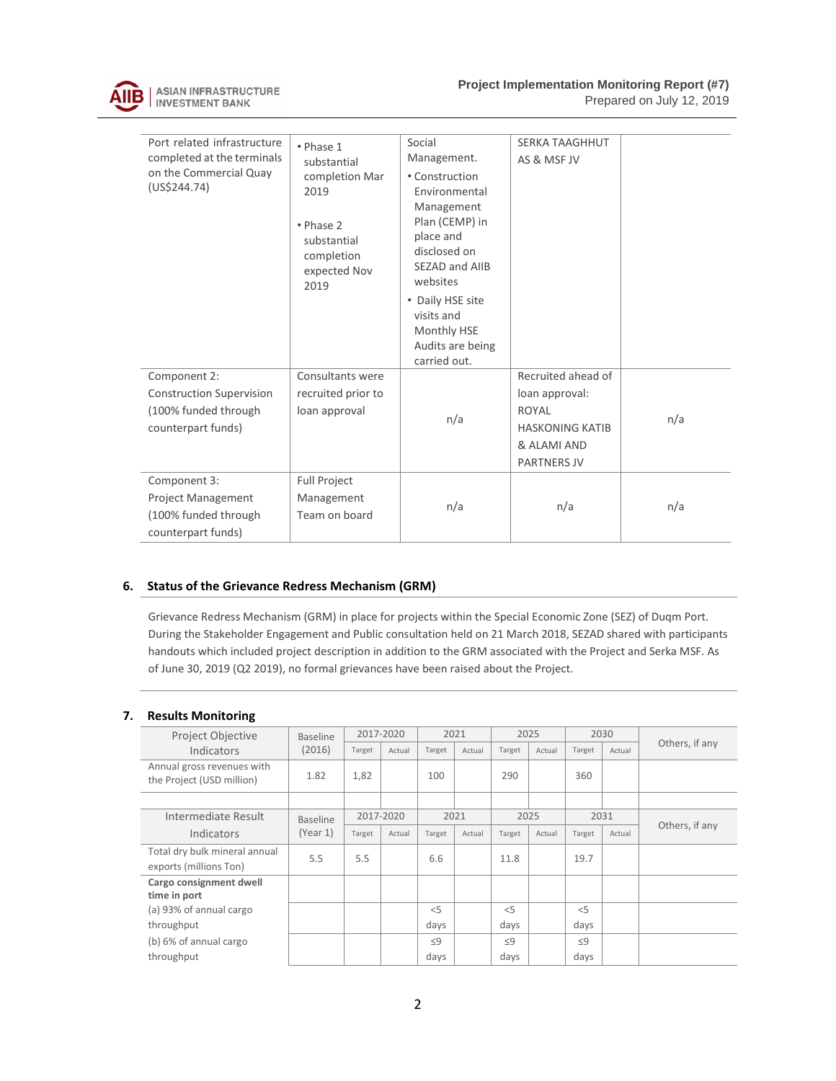

**Project Implementation Monitoring Report (#7)** 

Prepared on July 12, 2019

| Port related infrastructure<br>completed at the terminals<br>on the Commercial Quay<br>(US\$244.74) | • Phase 1<br>substantial<br>completion Mar<br>2019<br>· Phase 2<br>substantial<br>completion<br>expected Nov<br>2019 | Social<br>Management.<br>• Construction<br>Environmental<br>Management<br>Plan (CEMP) in<br>place and<br>disclosed on<br>SEZAD and AIIB<br>websites<br>• Daily HSE site<br>visits and<br>Monthly HSE<br>Audits are being<br>carried out. | <b>SERKA TAAGHHUT</b><br>AS & MSF JV                                                                         |     |
|-----------------------------------------------------------------------------------------------------|----------------------------------------------------------------------------------------------------------------------|------------------------------------------------------------------------------------------------------------------------------------------------------------------------------------------------------------------------------------------|--------------------------------------------------------------------------------------------------------------|-----|
| Component 2:<br><b>Construction Supervision</b><br>(100% funded through<br>counterpart funds)       | Consultants were<br>recruited prior to<br>loan approval                                                              | n/a                                                                                                                                                                                                                                      | Recruited ahead of<br>loan approval:<br>ROYAL<br><b>HASKONING KATIB</b><br>& ALAMI AND<br><b>PARTNERS JV</b> | n/a |
| Component 3:<br><b>Project Management</b><br>(100% funded through<br>counterpart funds)             | Full Project<br>Management<br>Team on board                                                                          | n/a                                                                                                                                                                                                                                      | n/a                                                                                                          | n/a |

### **6. Status of the Grievance Redress Mechanism (GRM)**

Grievance Redress Mechanism (GRM) in place for projects within the Special Economic Zone (SEZ) of Duqm Port. During the Stakeholder Engagement and Public consultation held on 21 March 2018, SEZAD shared with participants handouts which included project description in addition to the GRM associated with the Project and Serka MSF. As of June 30, 2019 (Q2 2019), no formal grievances have been raised about the Project.

### **7. Results Monitoring**

| Project Objective                                       | <b>Baseline</b> |        | 2017-2020 |          | 2021   |          | 2025   |          | 2030   |                |  |
|---------------------------------------------------------|-----------------|--------|-----------|----------|--------|----------|--------|----------|--------|----------------|--|
| Indicators                                              | (2016)          | Target | Actual    | Target   | Actual | Target   | Actual | Target   | Actual | Others, if any |  |
| Annual gross revenues with<br>the Project (USD million) | 1.82            | 1,82   |           | 100      |        | 290      |        | 360      |        |                |  |
|                                                         |                 |        |           |          |        |          |        |          |        |                |  |
| Intermediate Result                                     | <b>Baseline</b> |        | 2017-2020 |          | 2021   |          | 2025   |          | 2031   |                |  |
| Indicators                                              | (Year 1)        | Target | Actual    | Target   | Actual | Target   | Actual | Target   | Actual | Others, if any |  |
| Total dry bulk mineral annual                           | 5.5             | 5.5    |           | 6.6      |        | 11.8     |        | 19.7     |        |                |  |
| exports (millions Ton)                                  |                 |        |           |          |        |          |        |          |        |                |  |
| Cargo consignment dwell                                 |                 |        |           |          |        |          |        |          |        |                |  |
| time in port                                            |                 |        |           |          |        |          |        |          |        |                |  |
| (a) 93% of annual cargo                                 |                 |        |           | < 5      |        | $<$ 5    |        | < 5      |        |                |  |
| throughput                                              |                 |        |           | days     |        | days     |        | days     |        |                |  |
| (b) 6% of annual cargo                                  |                 |        |           | $\leq 9$ |        | $\leq$ 9 |        | $\leq$ 9 |        |                |  |
| throughput                                              |                 |        |           | days     |        | days     |        | days     |        |                |  |